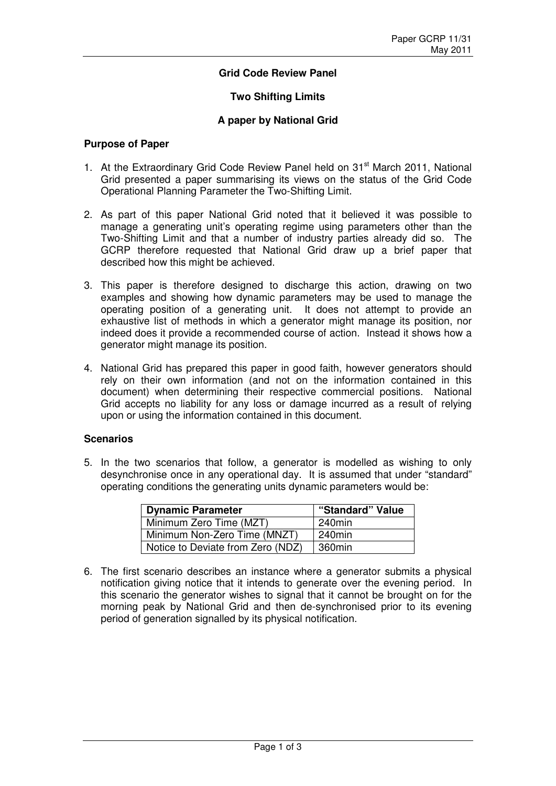# **Grid Code Review Panel**

### **Two Shifting Limits**

#### **A paper by National Grid**

#### **Purpose of Paper**

- 1. At the Extraordinary Grid Code Review Panel held on 31<sup>st</sup> March 2011, National Grid presented a paper summarising its views on the status of the Grid Code Operational Planning Parameter the Two-Shifting Limit.
- 2. As part of this paper National Grid noted that it believed it was possible to manage a generating unit's operating regime using parameters other than the Two-Shifting Limit and that a number of industry parties already did so. The GCRP therefore requested that National Grid draw up a brief paper that described how this might be achieved.
- 3. This paper is therefore designed to discharge this action, drawing on two examples and showing how dynamic parameters may be used to manage the operating position of a generating unit. It does not attempt to provide an exhaustive list of methods in which a generator might manage its position, nor indeed does it provide a recommended course of action. Instead it shows how a generator might manage its position.
- 4. National Grid has prepared this paper in good faith, however generators should rely on their own information (and not on the information contained in this document) when determining their respective commercial positions. National Grid accepts no liability for any loss or damage incurred as a result of relying upon or using the information contained in this document.

## **Scenarios**

5. In the two scenarios that follow, a generator is modelled as wishing to only desynchronise once in any operational day. It is assumed that under "standard" operating conditions the generating units dynamic parameters would be:

| <b>Dynamic Parameter</b>          | "Standard" Value |
|-----------------------------------|------------------|
| Minimum Zero Time (MZT)           | 240min           |
| Minimum Non-Zero Time (MNZT)      | 240min           |
| Notice to Deviate from Zero (NDZ) | 360min           |

6. The first scenario describes an instance where a generator submits a physical notification giving notice that it intends to generate over the evening period. In this scenario the generator wishes to signal that it cannot be brought on for the morning peak by National Grid and then de-synchronised prior to its evening period of generation signalled by its physical notification.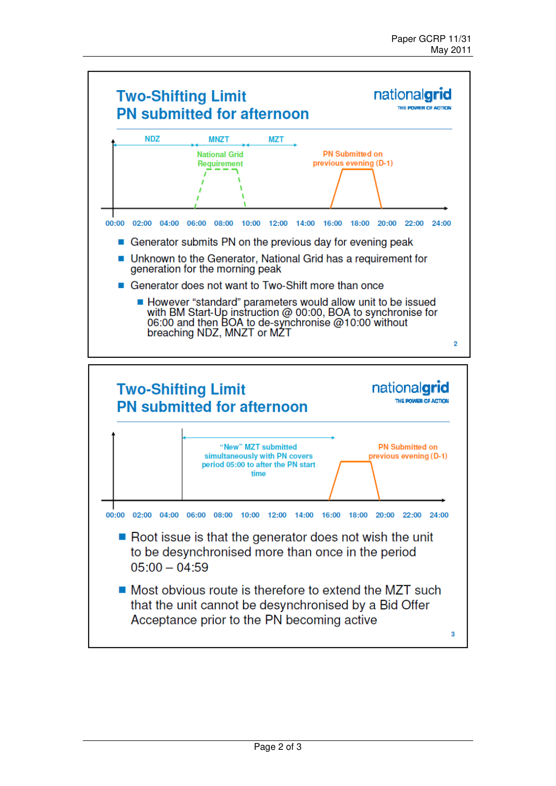